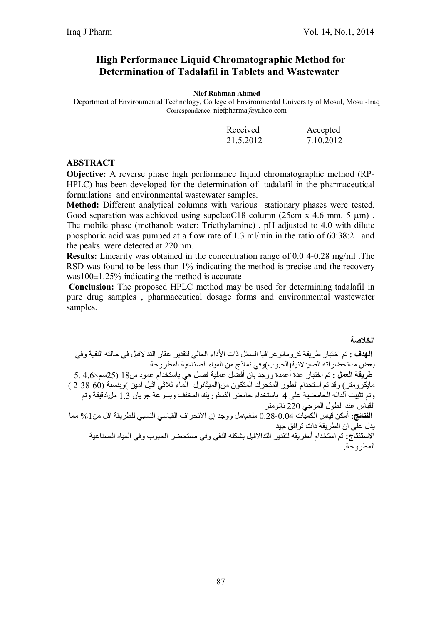# **High Performance Liquid Chromatographic Method for Determination of Tadalafil in Tablets and Wastewater**

#### **Nief Rahman Ahmed**

Department of Environmental Technology, College of Environmental University of Mosul, Mosul-Iraq Correspondence: niefpharma@yahoo.com

| Received  | Accepted  |
|-----------|-----------|
| 21.5.2012 | 7.10.2012 |

#### **ABSTRACT**

**Objective:** A reverse phase high performance liquid chromatographic method (RP-HPLC) has been developed for the determination of tadalafil in the pharmaceutical formulations and environmental wastewater samples.

**Method:** Different analytical columns with various stationary phases were tested. Good separation was achieved using supelcoC18 column (25cm x 4.6 mm. 5  $\mu$ m). The mobile phase (methanol: water: Triethylamine) , pH adjusted to 4.0 with dilute phosphoric acid was pumped at a flow rate of 1.3 ml/min in the ratio of 60:38:2 and the peaks were detected at 220 nm.

**Results:** Linearity was obtained in the concentration range of 0.0 4-0.28 mg/ml .The RSD was found to be less than 1% indicating the method is precise and the recovery was100 $\pm$ 1.25% indicating the method is accurate

**Conclusion:** The proposed HPLC method may be used for determining tadalafil in pure drug samples , pharmaceutical dosage forms and environmental wastewater samples.

**الخلاصة**

**الھدف :** تم اختبار طریقة كروماتوغرافیا السائل ذات الأداء العالي لتقدیر عقار التدالافیل في حالتھ النقیة وفي بعض مستحضراتھ الصیدلانیة(الحبوب)وفي نماذج من المیاه الصناعیة المطروحة **طریقة العمل :** تم اختبار عدة أعمدة ووجد بان أفضل عملیة فصل ھي باستخدام عمود س18 (25سم×4.6 5. مایكرومتر) وقد تم استخدام الطور المتحرك المتكون من(المیثانول- الماء- ثلاثي اثیل امین )وبنسبة (-60 2-38 ) وتم تثبیت ألدالھ الحامضیة على 4 باستخدام حامض الفسفوریك المخفف وبسرعة جریان 1.3 مل\دقیقة وتم القیاس عند الطول الموجي 220 نانومتر **النتائج:** أمكن قیاس الكمیات 0.28-0.04 ملغم\مل ووجد إن الانحراف القیاسي النسبي للطریقة اقل من%1 مما یدل على ان الطریقة ذات توافق جید

**الاستنتاج:** تم استخدام ألطریقھ لتقدیر التدالافیل بشكلھ النقي وفي مستحضر الحبوب وفي المیاه الصناعیة المطروحة.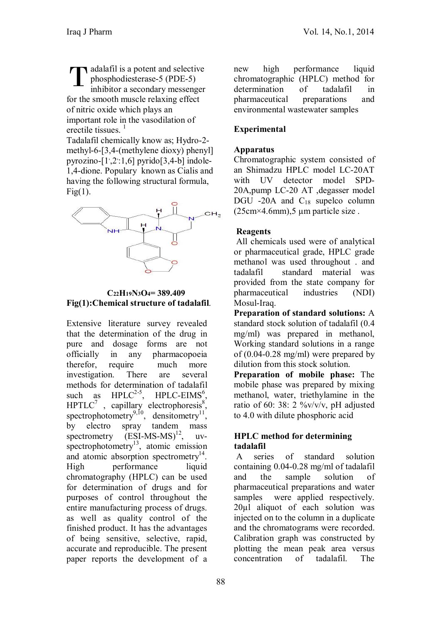diately adalafil is a potent and selective phosphodiesterase-5 (PDE-5) inhibitor a secondary messenger for the smooth muscle relaxing effect of nitric oxide which plays an important role in the vasodilation of erectile tissues.<sup>1</sup> **T** 

Tadalafil chemically know as; Hydro-2 methyl-6-[3,4-(methylene dioxy) phenyl] pyrozino-[1,2:1,6] pyrido[3,4-b] indole-1,4-dione. Populary known as Cialis and having the following structural formula,  $Fig(1)$ .



### **C22H19N3O4= 389.409 Fig(1):Chemical structure of tadalafil**.

Extensive literature survey revealed that the determination of the drug in pure and dosage forms are not officially in any pharmacopoeia therefor, require much more investigation. There are several methods for determination of tadalafil<br>such as  $HPLC^{2-5}$ ,  $HPLC-EIMS^6$ , such as  $HPLC^{2-5}$  $,$  HPLC-EIMS<sup>6</sup>,  $HPTLC<sup>7</sup>$ , capillary electrophoresis<sup>8</sup>, spectrophotometry<sup>9,10</sup>, densitometry<sup>11</sup>, by electro spray tandem mass spectrometry  $(BSI-MS-MS)^{12}$ ,  $uv$ spectrophotometry<sup>13</sup>, atomic emission and atomic absorption spectrometry<sup>14</sup>. High performance liquid chromatography (HPLC) can be used for determination of drugs and for purposes of control throughout the entire manufacturing process of drugs. as well as quality control of the finished product. It has the advantages of being sensitive, selective, rapid, accurate and reproducible. The present paper reports the development of a

new high performance liquid chromatographic (HPLC) method for determination of tadalafil in pharmaceutical preparations and environmental wastewater samples

# **Experimental**

### **Apparatus**

Chromatographic system consisted of an Shimadzu HPLC model LC-20AT with UV detector model SPD-20A,pump LC-20 AT ,degasser model DGU -20A and  $C_{18}$  supelco column  $(25cm \times 4.6mm)$ ,  $5 \mu m$  particle size.

### **Reagents**

All chemicals used were of analytical or pharmaceutical grade, HPLC grade methanol was used throughout . and tadalafil standard material was provided from the state company for pharmaceutical industries (NDI) Mosul-Iraq.

**Preparation of standard solutions:** A standard stock solution of tadalafil (0.4 mg/ml) was prepared in methanol, Working standard solutions in a range of (0.04-0.28 mg/ml) were prepared by dilution from this stock solution.

**Preparation of mobile phase:** The mobile phase was prepared by mixing methanol, water, triethylamine in the ratio of 60: 38: 2  $\frac{\%v}{v}$  v/v/v, pH adjusted to 4.0 with dilute phosphoric acid

### **HPLC method for determining tadalafil**

A series of standard solution containing 0.04-0.28 mg/ml of tadalafil and the sample solution of pharmaceutical preparations and water samples were applied respectively. 20µl aliquot of each solution was injected on to the column in a duplicate and the chromatograms were recorded. Calibration graph was constructed by plotting the mean peak area versus concentration of tadalafil. The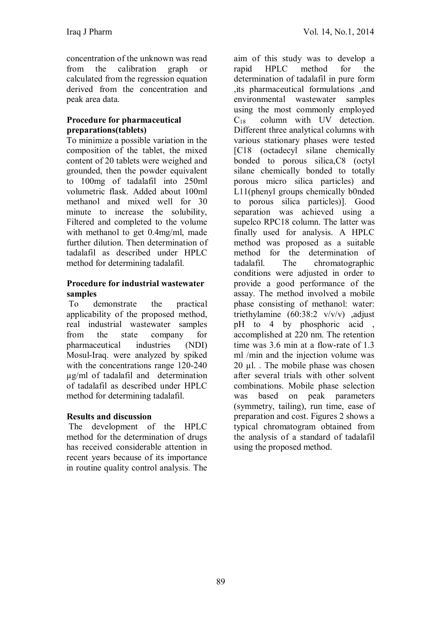concentration of the unknown was read from the calibration graph or calculated from the regression equation derived from the concentration and peak area data.

### **Procedure for pharmaceutical preparations(tablets)**

To minimize a possible variation in the composition of the tablet, the mixed content of 20 tablets were weighed and grounded, then the powder equivalent to 100mg of tadalafil into 250ml volumetric flask. Added about 100ml methanol and mixed well for 30 minute to increase the solubility, Filtered and completed to the volume with methanol to get 0.4mg/ml, made further dilution. Then determination of tadalafil as described under HPLC method for determining tadalafil.

### **Procedure for industrial wastewater samples**

To demonstrate the practical applicability of the proposed method, real industrial wastewater samples from the state company for pharmaceutical industries (NDI) Mosul-Iraq. were analyzed by spiked with the concentrations range 120-240 µg/ml of tadalafil and determination of tadalafil as described under HPLC method for determining tadalafil.

## **Results and discussion**

The development of the HPLC method for the determination of drugs has received considerable attention in recent years because of its importance in routine quality control analysis. The

aim of this study was to develop a rapid HPLC method for the determination of tadalafil in pure form ,its pharmaceutical formulations ,and environmental wastewater samples using the most commonly employed  $C_{18}$  column with UV detection. column with UV detection. Different three analytical columns with various stationary phases were tested [C18 (octadecyl silane chemically bonded to porous silica,C8 (octyl silane chemically bonded to totally porous micro silica particles) and L11(phenyl groups chemically b0nded to porous silica particles)]. Good separation was achieved using a supelco RPC18 column. The latter was finally used for analysis. A HPLC method was proposed as a suitable method for the determination of tadalafil. The chromatographic conditions were adjusted in order to provide a good performance of the assay. The method involved a mobile phase consisting of methanol: water: triethylamine  $(60:38:2 \text{ v/v/v})$  adjust pH to 4 by phosphoric acid , accomplished at 220 nm. The retention time was 3.6 min at a flow-rate of 1.3 ml /min and the injection volume was  $20 \mu$ l. The mobile phase was chosen after several trials with other solvent combinations. Mobile phase selection was based on peak parameters (symmetry, tailing), run time, ease of preparation and cost. Figures 2 shows a typical chromatogram obtained from the analysis of a standard of tadalafil using the proposed method.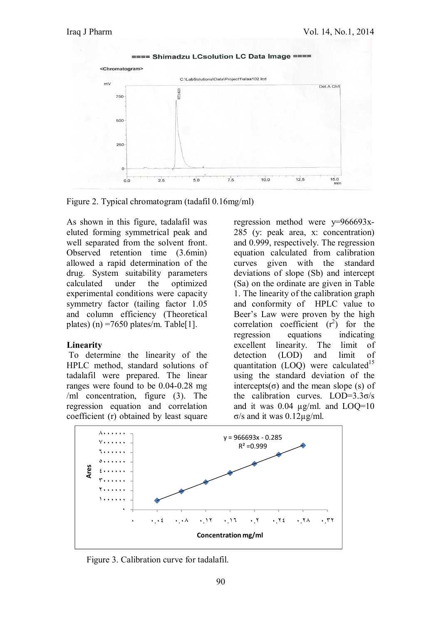



As shown in this figure, tadalafil was eluted forming symmetrical peak and well separated from the solvent front. Observed retention time (3.6min) allowed a rapid determination of the drug. System suitability parameters calculated under the optimized experimental conditions were capacity symmetry factor (tailing factor 1.05 and column efficiency (Theoretical plates) (n) =7650 plates/m. Table[1].

#### **Linearity**

To determine the linearity of the HPLC method, standard solutions of tadalafil were prepared. The linear ranges were found to be 0.04-0.28 mg /ml concentration, figure (3). The regression equation and correlation coefficient (r) obtained by least square

regression method were y=966693x-285 (y: peak area, x: concentration) and 0.999, respectively. The regression equation calculated from calibration curves given with the standard deviations of slope (Sb) and intercept (Sa) on the ordinate are given in Table 1. The linearity of the calibration graph and conformity of HPLC value to Beer's Law were proven by the high correlation coefficient  $(r^2)$  for the regression equations indicating excellent linearity. The limit of detection (LOD) and limit of quantitation (LOQ) were calculated<sup>15</sup> using the standard deviation of the intercepts( $\sigma$ ) and the mean slope (s) of the calibration curves.  $LOD=3.3\sigma/s$ and it was  $0.04 \mu g/ml$ . and  $LOQ=10$ σ/s and it was 0.12µg/ml.



Figure 3. Calibration curve for tadalafil.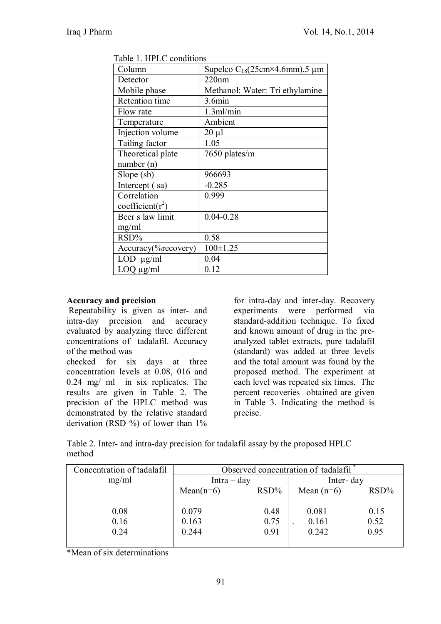| TAUIU T. TII LU UUIUIUIDIIS |                                            |  |  |
|-----------------------------|--------------------------------------------|--|--|
| Column                      | Supelco $C_{18}(25cm \times 4.6mm)$ , 5 µm |  |  |
| Detector                    | 220nm                                      |  |  |
| Mobile phase                | Methanol: Water: Tri ethylamine            |  |  |
| Retention time              | 3.6min                                     |  |  |
| Flow rate                   | 1.3ml/min                                  |  |  |
| Temperature                 | Ambient                                    |  |  |
| Injection volume            | $20 \mu l$                                 |  |  |
| Tailing factor              | 1.05                                       |  |  |
| Theoretical plate           | 7650 plates/m                              |  |  |
| number(n)                   |                                            |  |  |
| $Slope$ (sb)                | 966693                                     |  |  |
| Intercept (sa)              | $-0.285$                                   |  |  |
| Correlation                 | 0.999                                      |  |  |
| coefficient( $r^2$ )        |                                            |  |  |
| Beer s law limit            | $0.04 - 0.28$                              |  |  |
| mg/ml                       |                                            |  |  |
| RSD%                        | 0.58                                       |  |  |
| Accuracy(%recovery)         | $100 \pm 1.25$                             |  |  |
| $LOD \mu g/ml$              | 0.04                                       |  |  |
| $LOQ \mu g/ml$              | 0.12                                       |  |  |

Table 1. HPLC conditions

## **Accuracy and precision**

Repeatability is given as inter- and intra-day precision and accuracy evaluated by analyzing three different concentrations of tadalafil. Accuracy of the method was

checked for six days at three concentration levels at 0.08, 016 and 0.24 mg/ ml in six replicates. The results are given in Table 2. The precision of the HPLC method was demonstrated by the relative standard derivation (RSD %) of lower than 1%

for intra-day and inter-day. Recovery experiments were performed via standard-addition technique. To fixed and known amount of drug in the preanalyzed tablet extracts, pure tadalafil (standard) was added at three levels and the total amount was found by the proposed method. The experiment at each level was repeated six times. The percent recoveries obtained are given in Table 3. Indicating the method is precise.

Table 2. Inter- and intra-day precision for tadalafil assay by the proposed HPLC method

| Concentration of tadalafil | Observed concentration of tadalafil |      |              |         |
|----------------------------|-------------------------------------|------|--------------|---------|
| mg/ml                      | $Intra-day$                         |      | Inter-day    |         |
|                            | $RSD\%$<br>$Mean(n=6)$              |      | Mean $(n=6)$ | $RSD\%$ |
|                            |                                     |      |              |         |
| 0.08                       | 0.079                               | 0.48 | 0.081        | 0.15    |
| 0.16                       | 0.163                               | 0.75 | 0.161        | 0.52    |
| 0.24                       | 0.244                               | 0.91 | 0.242        | 0.95    |
|                            |                                     |      |              |         |

\*Mean of six determinations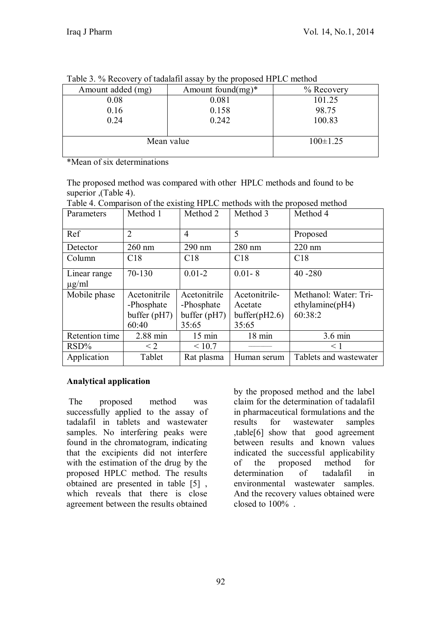| Table 5. 70 Recovery of tagalatti assay by the proposed III LC method |                       |                |  |
|-----------------------------------------------------------------------|-----------------------|----------------|--|
| Amount added (mg)                                                     | Amount found $(mg)^*$ | $%$ Recovery   |  |
| 0.08                                                                  | 0.081                 | 101.25         |  |
| 0.16                                                                  | 0.158                 | 98.75          |  |
| 0.24                                                                  | 0.242                 | 100.83         |  |
|                                                                       |                       |                |  |
| Mean value                                                            |                       | $100 \pm 1.25$ |  |
|                                                                       |                       |                |  |

Table 3. % Recovery of tadalafil assay by the proposed HPLC method

\*Mean of six determinations

The proposed method was compared with other HPLC methods and found to be superior ,(Table 4).

| Parameters                 | Method 1                                              | Method 2                                              | Method 3                                           | Method 4                                            |
|----------------------------|-------------------------------------------------------|-------------------------------------------------------|----------------------------------------------------|-----------------------------------------------------|
| Ref                        | $\overline{2}$                                        | $\overline{4}$                                        | 5                                                  | Proposed                                            |
| Detector                   | $260$ nm                                              | 290 nm                                                | 280 nm                                             | $220 \text{ nm}$                                    |
| Column                     | C18                                                   | C18                                                   | C18                                                | C18                                                 |
| Linear range<br>$\mu$ g/ml | 70-130                                                | $0.01 - 2$                                            | $0.01 - 8$                                         | $40 - 280$                                          |
| Mobile phase               | Acetonitrile<br>-Phosphate<br>buffer $(pH7)$<br>60:40 | Acetonitrile<br>-Phosphate<br>buffer $(pH7)$<br>35:65 | Acetonitrile-<br>Acetate<br>buffer(pH2.6)<br>35:65 | Methanol: Water: Tri-<br>ethylamine(pH4)<br>60:38:2 |
| Retention time             | 2.88 min                                              | $15 \text{ min}$                                      | 18 min                                             | 3.6 min                                             |
| $RSD\%$                    | $\leq$ 2                                              | ${}_{\leq 10.7}$                                      |                                                    | $\leq 1$                                            |
| Application                | Tablet                                                | Rat plasma                                            | Human serum                                        | Tablets and wastewater                              |

Table 4. Comparison of the existing HPLC methods with the proposed method

## **Analytical application**

The proposed method was successfully applied to the assay of tadalafil in tablets and wastewater samples. No interfering peaks were found in the chromatogram, indicating that the excipients did not interfere with the estimation of the drug by the proposed HPLC method. The results obtained are presented in table [5] , which reveals that there is close agreement between the results obtained

by the proposed method and the label claim for the determination of tadalafil in pharmaceutical formulations and the results for wastewater samples ,table[6] show that good agreement between results and known values indicated the successful applicability of the proposed method for determination of tadalafil in environmental wastewater samples. And the recovery values obtained were closed to 100% .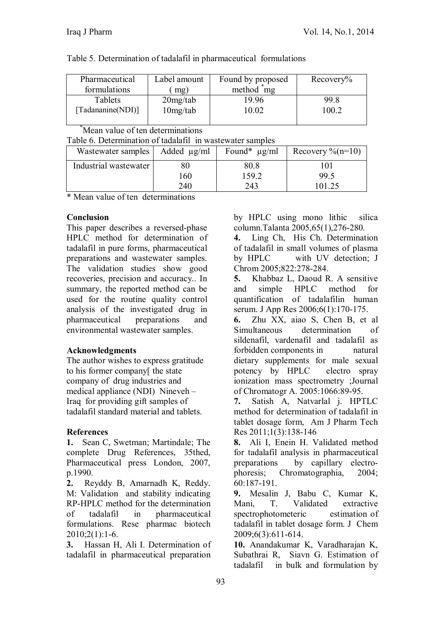| Table 5. Determination of tadalafil in pharmaceutical formulations |  |
|--------------------------------------------------------------------|--|
|--------------------------------------------------------------------|--|

| Pharmaceutical    | Label amount | Found by proposed      | Recovery% |
|-------------------|--------------|------------------------|-----------|
| formulations      | mg)          | method <sup>*</sup> mg |           |
| Tablets           | $20$ mg/tab  | 19.96                  | 99.8      |
| [Tadananine(NDI)] | 10mg/tab     | 10.02                  | 100.2     |
|                   |              |                        |           |

Mean value of ten determinations

Table 6. Determination of tadalafil in wastewater samples

| Wastewater samples    | Added $\mu$ g/ml | Found* $\mu$ g/ml    | Recovery $\%$ (n=10) |
|-----------------------|------------------|----------------------|----------------------|
| Industrial wastewater | 160<br>240       | 80.8<br>159.2<br>243 | 99.5<br>101.25       |

\* Mean value of ten determinations

### **Conclusion**

This paper describes a reversed-phase HPLC method for determination of tadalafil in pure forms, pharmaceutical preparations and wastewater samples. The validation studies show good recoveries, precision and accuracy.. In summary, the reported method can be used for the routine quality control analysis of the investigated drug in pharmaceutical preparations and environmental wastewater samples.

## **Acknowledgments**

The author wishes to express gratitude to his former company[ the state company of drug industries and medical appliance (NDI) Nineveh – Iraq for providing gift samples of tadalafil standard material and tablets.

## **References**

**1.** Sean C, Swetman; Martindale; The complete Drug References, 35thed, Pharmaceutical press London, 2007, p.1990.

**2.** Reyddy B, Amarnadh K, Reddy. M: Validation and stability indicating RP-HPLC method for the determination of tadalafil in pharmaceutical formulations. Rese pharmac biotech  $2010;2(1):1-6.$ 

**3.** Hassan H, Ali I. Determination of tadalafil in pharmaceutical preparation by HPLC using mono lithic silica column.Talanta 2005,65(1),276-280.

**4.** Ling Ch, His Ch. Determination of tadalafil in small volumes of plasma by HPLC with UV detection; J Chrom 2005;822:278-284.

**5.** Khabbaz L, Daoud R. A sensitive and simple HPLC method for quantification of tadalafilin human serum. J App Res 2006;6(1):170-175.

**6.** Zhu XX, aiao S, Chen B, et al Simultaneous determination of sildenafil, vardenafil and tadalafil as forbidden components in natural dietary supplements for male sexual potency by HPLC electro spray ionization mass spectrometry ;Journal of Chromatogr A. 2005:1066:89-95.

**7.** Satish A, Natvarlal j. HPTLC method for determination of tadalafil in tablet dosage form, Am J Pharm Tech Res 2011;1(3):138-146

**8.** Ali I, Enein H. Validated method for tadalafil analysis in pharmaceutical preparations by capillary electrophoresis; Chromatographia, 2004; 60:187-191.

**9.** Mesalin J, Babu C, Kumar K, Mani, T. Validated extractive spectrophotometeric estimation of tadalafil in tablet dosage form. J Chem 2009;6(3):611-614.

**10.** Anandakumar K, Varadharajan K, Subathrai R, Siavn G. Estimation of tadalafil in bulk and formulation by